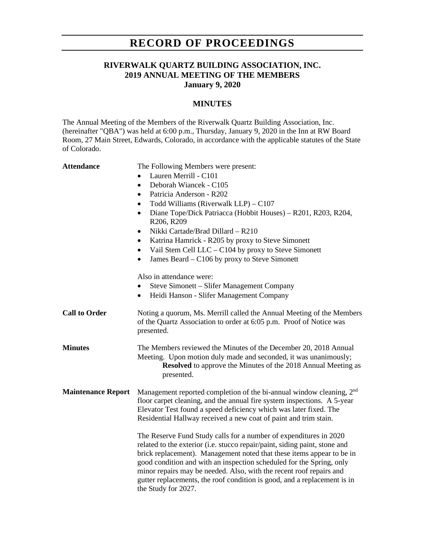# **RECORD OF PROCEEDINGS**

### **RIVERWALK QUARTZ BUILDING ASSOCIATION, INC. 2019 ANNUAL MEETING OF THE MEMBERS January 9, 2020**

### **MINUTES**

The Annual Meeting of the Members of the Riverwalk Quartz Building Association, Inc. (hereinafter "QBA") was held at 6:00 p.m., Thursday, January 9, 2020 in the Inn at RW Board Room, 27 Main Street, Edwards, Colorado, in accordance with the applicable statutes of the State of Colorado.

| <b>Attendance</b>         | The Following Members were present:<br>Lauren Merrill - C101<br>Deborah Wiancek - C105<br>$\bullet$<br>Patricia Anderson - R202<br>$\bullet$<br>Todd Williams (Riverwalk LLP) $-$ C107<br>$\bullet$<br>Diane Tope/Dick Patriacca (Hobbit Houses) - R201, R203, R204,<br>$\bullet$<br>R206, R209<br>Nikki Cartade/Brad Dillard - R210<br>٠<br>Katrina Hamrick - R205 by proxy to Steve Simonett<br>$\bullet$<br>Vail Stem Cell LLC - C104 by proxy to Steve Simonett<br>$\bullet$<br>James Beard – C106 by proxy to Steve Simonett<br>$\bullet$<br>Also in attendance were:<br>Steve Simonett – Slifer Management Company<br>$\bullet$<br>Heidi Hanson - Slifer Management Company<br>$\bullet$ |
|---------------------------|------------------------------------------------------------------------------------------------------------------------------------------------------------------------------------------------------------------------------------------------------------------------------------------------------------------------------------------------------------------------------------------------------------------------------------------------------------------------------------------------------------------------------------------------------------------------------------------------------------------------------------------------------------------------------------------------|
| <b>Call to Order</b>      | Noting a quorum, Ms. Merrill called the Annual Meeting of the Members<br>of the Quartz Association to order at 6:05 p.m. Proof of Notice was<br>presented.                                                                                                                                                                                                                                                                                                                                                                                                                                                                                                                                     |
| <b>Minutes</b>            | The Members reviewed the Minutes of the December 20, 2018 Annual<br>Meeting. Upon motion duly made and seconded, it was unanimously;<br><b>Resolved</b> to approve the Minutes of the 2018 Annual Meeting as<br>presented.                                                                                                                                                                                                                                                                                                                                                                                                                                                                     |
| <b>Maintenance Report</b> | Management reported completion of the bi-annual window cleaning, 2 <sup>nd</sup><br>floor carpet cleaning, and the annual fire system inspections. A 5-year<br>Elevator Test found a speed deficiency which was later fixed. The<br>Residential Hallway received a new coat of paint and trim stain.                                                                                                                                                                                                                                                                                                                                                                                           |
|                           | The Reserve Fund Study calls for a number of expenditures in 2020<br>related to the exterior (i.e. stucco repair/paint, siding paint, stone and<br>brick replacement). Management noted that these items appear to be in<br>good condition and with an inspection scheduled for the Spring, only<br>minor repairs may be needed. Also, with the recent roof repairs and<br>gutter replacements, the roof condition is good, and a replacement is in<br>the Study for 2027.                                                                                                                                                                                                                     |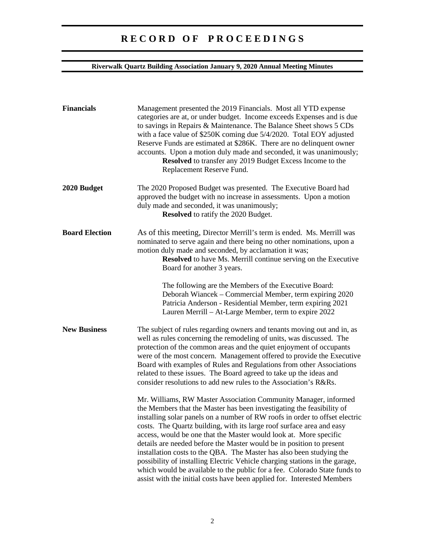# **R E C O R D O F P R O C E E D I N G S**

## **Riverwalk Quartz Building Association January 9, 2020 Annual Meeting Minutes**

| <b>Financials</b>     | Management presented the 2019 Financials. Most all YTD expense<br>categories are at, or under budget. Income exceeds Expenses and is due<br>to savings in Repairs & Maintenance. The Balance Sheet shows 5 CDs<br>with a face value of \$250K coming due 5/4/2020. Total EOY adjusted<br>Reserve Funds are estimated at \$286K. There are no delinquent owner<br>accounts. Upon a motion duly made and seconded, it was unanimously;<br>Resolved to transfer any 2019 Budget Excess Income to the<br>Replacement Reserve Fund.                                                                                                                                                                                                                               |
|-----------------------|--------------------------------------------------------------------------------------------------------------------------------------------------------------------------------------------------------------------------------------------------------------------------------------------------------------------------------------------------------------------------------------------------------------------------------------------------------------------------------------------------------------------------------------------------------------------------------------------------------------------------------------------------------------------------------------------------------------------------------------------------------------|
| 2020 Budget           | The 2020 Proposed Budget was presented. The Executive Board had<br>approved the budget with no increase in assessments. Upon a motion<br>duly made and seconded, it was unanimously;<br><b>Resolved</b> to ratify the 2020 Budget.                                                                                                                                                                                                                                                                                                                                                                                                                                                                                                                           |
| <b>Board Election</b> | As of this meeting, Director Merrill's term is ended. Ms. Merrill was<br>nominated to serve again and there being no other nominations, upon a<br>motion duly made and seconded, by acclamation it was;<br><b>Resolved</b> to have Ms. Merrill continue serving on the Executive<br>Board for another 3 years.                                                                                                                                                                                                                                                                                                                                                                                                                                               |
|                       | The following are the Members of the Executive Board:<br>Deborah Wiancek – Commercial Member, term expiring 2020<br>Patricia Anderson - Residential Member, term expiring 2021<br>Lauren Merrill - At-Large Member, term to expire 2022                                                                                                                                                                                                                                                                                                                                                                                                                                                                                                                      |
| <b>New Business</b>   | The subject of rules regarding owners and tenants moving out and in, as<br>well as rules concerning the remodeling of units, was discussed. The<br>protection of the common areas and the quiet enjoyment of occupants<br>were of the most concern. Management offered to provide the Executive<br>Board with examples of Rules and Regulations from other Associations<br>related to these issues. The Board agreed to take up the ideas and<br>consider resolutions to add new rules to the Association's R&Rs.                                                                                                                                                                                                                                            |
|                       | Mr. Williams, RW Master Association Community Manager, informed<br>the Members that the Master has been investigating the feasibility of<br>installing solar panels on a number of RW roofs in order to offset electric<br>costs. The Quartz building, with its large roof surface area and easy<br>access, would be one that the Master would look at. More specific<br>details are needed before the Master would be in position to present<br>installation costs to the QBA. The Master has also been studying the<br>possibility of installing Electric Vehicle charging stations in the garage,<br>which would be available to the public for a fee. Colorado State funds to<br>assist with the initial costs have been applied for. Interested Members |